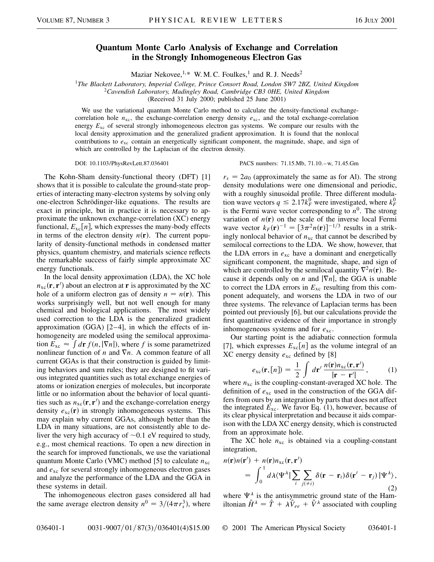## **Quantum Monte Carlo Analysis of Exchange and Correlation in the Strongly Inhomogeneous Electron Gas**

Maziar Nekovee,  $1, *$  W. M. C. Foulkes, 1 and R. J. Needs<sup>2</sup>

<sup>1</sup>*The Blackett Laboratory, Imperial College, Prince Consort Road, London SW7 2BZ, United Kingdom*

<sup>2</sup>*Cavendish Laboratory, Madingley Road, Cambridge CB3 0HE, United Kingdom*

(Received 31 July 2000; published 25 June 2001)

We use the variational quantum Monte Carlo method to calculate the density-functional exchangecorrelation hole  $n_{\text{xc}}$ , the exchange-correlation energy density  $e_{\text{xc}}$ , and the total exchange-correlation energy  $E_{xc}$  of several strongly inhomogeneous electron gas systems. We compare our results with the local density approximation and the generalized gradient approximation. It is found that the nonlocal contributions to  $e_{\rm xc}$  contain an energetically significant component, the magnitude, shape, and sign of which are controlled by the Laplacian of the electron density.

DOI: 10.1103/PhysRevLett.87.036401 PACS numbers: 71.15.Mb, 71.10.–w, 71.45.Gm

The Kohn-Sham density-functional theory (DFT) [1] shows that it is possible to calculate the ground-state properties of interacting many-electron systems by solving only one-electron Schrödinger-like equations. The results are exact in principle, but in practice it is necessary to approximate the unknown exchange-correlation (XC) energy functional,  $E_{\text{xc}}[n]$ , which expresses the many-body effects in terms of the electron density  $n(\mathbf{r})$ . The current popularity of density-functional methods in condensed matter physics, quantum chemistry, and materials science reflects the remarkable success of fairly simple approximate XC energy functionals.

In the local density approximation (LDA), the XC hole  $n_{\text{xc}}(\mathbf{r}, \mathbf{r}')$  about an electron at **r** is approximated by the XC hole of a uniform electron gas of density  $n = n(\mathbf{r})$ . This works surprisingly well, but not well enough for many chemical and biological applications. The most widely used correction to the LDA is the generalized gradient approximation (GGA) [2–4], in which the effects of inhomogeneity are modeled using the semilocal approximafrom *E*<sub>xc</sub>  $\approx \int d\mathbf{r} f(n, |\nabla n|)$ , where *f* is some parametrized nonlinear function of *n* and  $\nabla n$ . A common feature of all current GGAs is that their construction is guided by limiting behaviors and sum rules; they are designed to fit various integrated quantities such as total exchange energies of atoms or ionization energies of molecules, but incorporate little or no information about the behavior of local quantities such as  $n_{\text{xc}}(\mathbf{r}, \mathbf{r}')$  and the exchange-correlation energy density  $e_{\text{xc}}(\mathbf{r})$  in strongly inhomogeneous systems. This may explain why current GGAs, although better than the LDA in many situations, are not consistently able to deliver the very high accuracy of  $\sim 0.1$  eV required to study, e.g., most chemical reactions. To open a new direction in the search for improved functionals, we use the variational quantum Monte Carlo (VMC) method [5] to calculate *n*xc and *e*xc for several strongly inhomogeneous electron gases and analyze the performance of the LDA and the GGA in these systems in detail.

The inhomogeneous electron gases considered all had the same average electron density  $n^0 = 3/(4\pi r_s^3)$ , where

 $r_s = 2a_0$  (approximately the same as for Al). The strong density modulations were one dimensional and periodic, with a roughly sinusoidal profile. Three different modulation wave vectors  $q \leq 2.17k_F^0$  were investigated, where  $k_F^0$ is the Fermi wave vector corresponding to  $n^0$ . The strong variation of  $n(r)$  on the scale of the inverse local Fermi wave vector  $k_F(\mathbf{r})^{-1} = [3\pi^2 n(\mathbf{r})]^{-1/3}$  results in a strikingly nonlocal behavior of  $n_{\text{xc}}$  that cannot be described by semilocal corrections to the LDA. We show, however, that the LDA errors in  $e_{\text{xc}}$  have a dominant and energetically significant component, the magnitude, shape, and sign of which are controlled by the semilocal quantity  $\nabla^2 n(\mathbf{r})$ . Because it depends only on *n* and  $|\nabla n|$ , the GGA is unable to correct the LDA errors in  $E_{\text{xc}}$  resulting from this component adequately, and worsens the LDA in two of our three systems. The relevance of Laplacian terms has been pointed out previously [6], but our calculations provide the first quantitative evidence of their importance in strongly inhomogeneous systems and for  $e_{xc}$ .

Our starting point is the adiabatic connection formula [7], which expresses  $E_{\text{xc}}[n]$  as the volume integral of an XC energy density  $e_{\text{xc}}$  defined by [8]

$$
e_{\rm xc}(\mathbf{r}, [n]) = \frac{1}{2} \int d\mathbf{r}' \, \frac{n(\mathbf{r}) n_{\rm xc}(\mathbf{r}, \mathbf{r}')}{|\mathbf{r} - \mathbf{r}'|},\qquad(1)
$$

where  $n_{\text{xc}}$  is the coupling-constant-averaged XC hole. The definition of  $e_{\rm xc}$  used in the construction of the GGA differs from ours by an integration by parts that does not affect the integrated  $E_{\text{xc}}$ . We favor Eq. (1), however, because of its clear physical interpretation and because it aids comparison with the LDA XC energy density, which is constructed from an approximate hole.

The XC hole  $n_{xc}$  is obtained via a coupling-constant integration,

$$
n(\mathbf{r})n(\mathbf{r}') + n(\mathbf{r})n_{\mathrm{xc}}(\mathbf{r}, \mathbf{r}')
$$
  
= 
$$
\int_0^1 d\lambda \langle \Psi^{\lambda} | \sum_i \sum_{j(\neq i)} \delta(\mathbf{r} - \mathbf{r}_i) \delta(\mathbf{r}' - \mathbf{r}_j) | \Psi^{\lambda} \rangle,
$$
 (2)

where  $\Psi^{\lambda}$  is the antisymmetric ground state of the Hamiltonian  $\hat{H}^{\lambda} = \hat{T} + \lambda \hat{V}_{ee} + \hat{V}^{\lambda}$  associated with coupling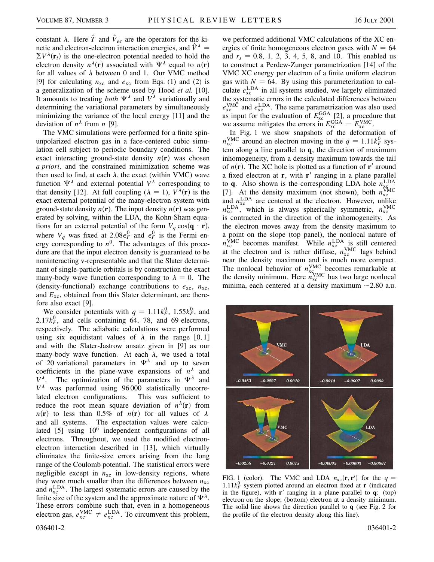constant  $\lambda$ . Here  $\hat{T}$  and  $\hat{V}_{ee}$  are the operators for the kinetic and electron-electron interaction energies, and  $\hat{V}^{\lambda}$  $\sum V^{\lambda}(\mathbf{r}_i)$  is the one-electron potential needed to hold the electron density  $n^{\lambda}(\mathbf{r})$  associated with  $\Psi^{\lambda}$  equal to  $n(\mathbf{r})$ for all values of  $\lambda$  between 0 and 1. Our VMC method [9] for calculating  $n_{\text{xc}}$  and  $e_{\text{xc}}$  from Eqs. (1) and (2) is a generalization of the scheme used by Hood *et al.* [10]. It amounts to treating *both*  $\Psi^{\lambda}$  and  $V^{\lambda}$  variationally and determining the variational parameters by simultaneously minimizing the variance of the local energy [11] and the deviation of  $n^{\lambda}$  from *n* [9].

The VMC simulations were performed for a finite spinunpolarized electron gas in a face-centered cubic simulation cell subject to periodic boundary conditions. The exact interacting ground-state density  $n(r)$  was chosen *a priori*, and the constrained minimization scheme was then used to find, at each  $\lambda$ , the exact (within VMC) wave function  $\Psi^{\lambda}$  and external potential  $V^{\lambda}$  corresponding to that density [12]. At full coupling  $(\lambda = 1)$ ,  $V^{\lambda}(\mathbf{r})$  is the exact external potential of the many-electron system with ground-state density  $n(\mathbf{r})$ . The input density  $n(\mathbf{r})$  was generated by solving, within the LDA, the Kohn-Sham equations for an external potential of the form  $V_q \cos(\mathbf{q} \cdot \mathbf{r})$ , where  $V_q$  was fixed at 2.08 $\epsilon_F^0$  and  $\epsilon_F^0$  is the Fermi energy corresponding to  $n^0$ . The advantages of this procedure are that the input electron density is guaranteed to be noninteracting v-representable and that the Slater determinant of single-particle orbitals is by construction the exact many-body wave function corresponding to  $\lambda = 0$ . The (density-functional) exchange contributions to  $e_{\text{xc}}$ ,  $n_{\text{xc}}$ , and *E*xc, obtained from this Slater determinant, are therefore also exact [9].

We consider potentials with  $q = 1.11k_F^0$ , 1.55 $k_F^0$ , and 2.17 $k_F^0$ , and cells containing 64, 78, and 69 electrons, respectively. The adiabatic calculations were performed using six equidistant values of  $\lambda$  in the range [0, 1] and with the Slater-Jastrow ansatz given in [9] as our many-body wave function. At each  $\lambda$ , we used a total of 20 variational parameters in  $\Psi^{\lambda}$  and up to seven coefficients in the plane-wave expansions of  $n^{\lambda}$  and  $V^{\lambda}$ . The optimization of the parameters in  $\Psi^{\lambda}$  and  $V^{\lambda}$  was performed using 96000 statistically uncorrelated electron configurations. This was sufficient to reduce the root mean square deviation of  $n^{\lambda}(\mathbf{r})$  from  $n(\mathbf{r})$  to less than 0.5% of  $n(\mathbf{r})$  for all values of  $\lambda$ and all systems. The expectation values were calculated  $[5]$  using  $10<sup>6</sup>$  independent configurations of all electrons. Throughout, we used the modified electronelectron interaction described in [13], which virtually eliminates the finite-size errors arising from the long range of the Coulomb potential. The statistical errors were negligible except in  $n_{\text{xc}}$  in low-density regions, where they were much smaller than the differences between  $n_{\text{xc}}$ and  $n_{\rm xc}^{\rm LDA}$ . The largest systematic errors are caused by the finite size of the system and the approximate nature of  $\Psi^{\lambda}$ . These errors combine such that, even in a homogeneous electron gas,  $e_{\text{xc}}^{\text{VMC}} \neq e_{\text{xc}}^{\text{LDA}}$ . To circumvent this problem,

we performed additional VMC calculations of the XC energies of finite homogeneous electron gases with  $N = 64$ and  $r_s = 0.8, 1, 2, 3, 4, 5, 8,$  and 10. This enabled us to construct a Perdew-Zunger parametrization [14] of the VMC XC energy per electron of a finite uniform electron gas with  $N = 64$ . By using this parameterization to calculate  $e_{\text{xc}}^{\text{LDA}}$  in all systems studied, we largely eliminated the systematic errors in the calculated differences between  $e_{\rm xc}^{\rm VMC}$  and  $e_{\rm xc}^{\rm LDA}$ . The same parametrization was also used as input for the evaluation of  $E_{\text{xc}}^{\text{GGA}}$  [2], a procedure that we assume mitigates the errors in  $E_{\text{xc}}^{\text{GGA}} - E_{\text{xc}}^{\text{VMC}}$ .

In Fig. 1 we show snapshots of the deformation of  $n_{\text{xc}}^{\text{VMC}}$  around an electron moving in the  $q = 1.11k_F^0$  system along a line parallel to **q**, the direction of maximum inhomogeneity, from a density maximum towards the tail of  $n(\mathbf{r})$ . The XC hole is plotted as a function of  $\mathbf{r}'$  around a fixed electron at  $\mathbf{r}$ , with  $\mathbf{r}'$  ranging in a plane parallel to **q**. Also shown is the corresponding LDA hole  $n_{\rm{vo}}^{\rm{LDA}}$  $(7)$ . At the density maximum (not shown), both  $n_{\rm xc}^{\rm WMC}$  $\lim_{x \to 0} n_{\rm xc}^{\rm LDA}$  are centered at the electron. However, unlike  $n_{\rm xc}^{\rm LDA}$ , which is always spherically symmetric,  $n_{\rm xc}^{\rm VMC}$ is contracted in the direction of the inhomogeneity. As the electron moves away from the density maximum to a point on the slope (top panel), the nonlocal nature of  $n_{\rm xc}^{\rm VMC}$  becomes manifest. While  $n_{\rm xc}^{\rm LDA}$  is still centered at the electron and is rather diffuse,  $n_{\rm xc}^{\rm VMC}$  lags behind near the density maximum and is much more compact. The nonlocal behavior of  $n_{x_{\text{C}}\text{NAC}}^{\text{VMC}}$  becomes remarkable at the density minimum. Here  $n_{\rm xc}^{\rm VMC}$  has two large nonlocal minima, each centered at a density maximum  $\sim$  2.80 a.u.



FIG. 1 (color). The VMC and LDA  $n_{\text{xc}}(\mathbf{r}, \mathbf{r}')$  for the  $q =$  $1.11k<sub>F</sub><sup>0</sup>$  system plotted around an electron fixed at **r** (indicated in the figure), with  $\mathbf{r}'$  ranging in a plane parallel to **q**: (top) electron on the slope; (bottom) electron at a density minimum. The solid line shows the direction parallel to **q** (see Fig. 2 for the profile of the electron density along this line).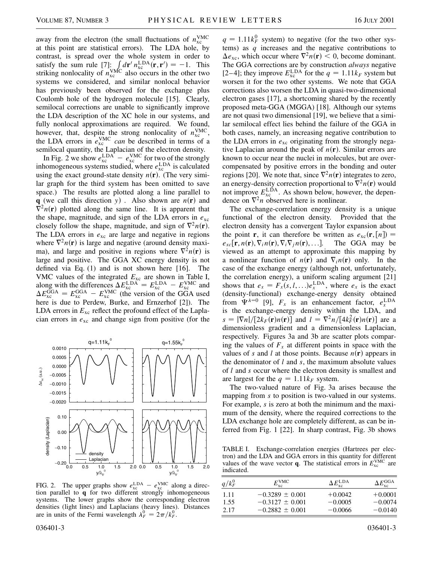away from the electron (the small fluctuations of  $n_{\text{xc}}^{\text{VMC}}$ at this point are statistical errors). The LDA hole, by contrast, is spread over the whole system in order to satisfy the sum rule  $[7]$ ;  $\int d\mathbf{r}' n_{\rm xc}^{\rm LDA}(\mathbf{r}, \mathbf{r}') = -1$ . This striking nonlocality of  $n_{\text{xc}}^{\text{VMC}}$  also occurs in the other two systems we considered, and similar nonlocal behavior has previously been observed for the exchange plus Coulomb hole of the hydrogen molecule [15]. Clearly, semilocal corrections are unable to significantly improve the LDA description of the XC hole in our systems, and fully nonlocal approximations are required. We found, however, that, despite the strong nonlocality of  $n_{\text{xc}}^{\text{VMC}}$ , the LDA errors in  $e_{\text{xc}}^{\text{VMC}}$  *can* be described in terms of a semilocal quantity, the Laplacian of the electron density.

In Fig. 2 we show  $e_{\rm xc}^{\rm LDA} - e_{\rm xc}^{\rm WMC}$  for two of the strongly inhomogeneous systems studied, where  $e_{\rm xc}^{\rm LDA}$  is calculated using the exact ground-state density  $n(\mathbf{r})$ . (The very similar graph for the third system has been omitted to save space.) The results are plotted along a line parallel to **q** (we call this direction *y*). Also shown are  $n(\mathbf{r})$  and  $\nabla^2 n(\mathbf{r})$  plotted along the same line. It is apparent that the shape, magnitude, and sign of the LDA errors in  $e_{\rm xc}$ closely follow the shape, magnitude, and sign of  $\nabla^2 n(\mathbf{r})$ . The LDA errors in  $e_{\text{xc}}$  are large and negative in regions where  $\nabla^2 n(\mathbf{r})$  is large and negative (around density maxima), and large and positive in regions where  $\nabla^2 n(\mathbf{r})$  is large and positive. The GGA XC energy density is not defined via Eq. (1) and is not shown here [16]. The VMC values of the integrated *E*xc are shown in Table I, along with the differences  $\Delta E_{\text{xc}}^{\text{LDA}} = E_{\text{xc}}^{\text{LDA}} - E_{\text{xc}}^{\text{VMC}}$  and  $\Delta E_{\text{xc}}^{\text{GGA}} = E_{\text{xc}}^{\text{GGA}} - E_{\text{xc}}^{\text{VMC}}$  (the version of the GGA used here is due to Perdew, Burke, and Ernzerhof [2]). The LDA errors in  $E_{\text{xc}}$  reflect the profound effect of the Laplacian errors in *e*xc and change sign from positive (for the



FIG. 2. The upper graphs show  $e_{\rm xc}^{\rm LDA} - e_{\rm xc}^{\rm VMC}$  along a direction parallel to **q** for two different strongly inhomogeneous systems. The lower graphs show the corresponding electron densities (light lines) and Laplacians (heavy lines). Distances are in units of the Fermi wavelength  $\lambda_F^0 = 2\pi / k_F^0$ .

 $q = 1.11k_F^0$  system) to negative (for the two other systems) as *q* increases and the negative contributions to  $\Delta e_{\rm xc}$ , which occur where  $\nabla^2 n(\mathbf{r}) < 0$ , become dominant. The GGA corrections are by construction *always* negative [2–4]; they improve  $E_{\text{xc}}^{\text{LDA}}$  for the  $q = 1.11k_F$  system but worsen it for the two other systems. We note that GGA corrections also worsen the LDA in quasi-two-dimensional electron gases [17], a shortcoming shared by the recently proposed meta-GGA (MGGA) [18]. Although our sytems are not quasi two dimensional [19], we believe that a similar semilocal effect lies behind the failure of the GGA in both cases, namely, an increasing negative contribution to the LDA errors in *e*xc originating from the strongly negative Laplacian around the peak of  $n(\mathbf{r})$ . Similar errors are known to occur near the nuclei in molecules, but are overcompensated by positive errors in the bonding and outer regions [20]. We note that, since  $\nabla^2 n(\mathbf{r})$  integrates to zero, an energy-density correction proportional to  $\nabla^2 n(\mathbf{r})$  would not improve  $E_{\text{xc}}^{\text{LDA}}$ . As shown below, however, the dependence on  $\nabla^2 n$  observed here is nonlinear.

The exchange-correlation energy density is a unique functional of the electron density. Provided that the electron density has a convergent Taylor expansion about the point **r**, it can therefore be written as  $e_{\text{xc}}(\mathbf{r}, [n]) =$  $e_{xc}$ **r**,  $n(\mathbf{r}), \nabla_i n(\mathbf{r}), \nabla_i \nabla_j n(\mathbf{r}), \ldots$ . The GGA may be viewed as an attempt to approximate this mapping by a nonlinear function of  $n(\mathbf{r})$  and  $\nabla_i n(\mathbf{r})$  only. In the case of the exchange energy (although not, unfortunately, the correlation energy), a uniform scaling argument [21] shows that  $e_x = F_x(s, l, \ldots)e_x^{\text{LDA}}$ , where  $e_x$  is the exact (density-functional) exchange-energy density obtained from  $\Psi^{\lambda=0}$  [9],  $F_x$  is an enhancement factor,  $e_x^{\text{LDA}}$ is the exchange-energy density within the LDA, and  $s = |\nabla n|/[2k_F(\mathbf{r})n(\mathbf{r})]$  and  $l = \nabla^2 n/[4k_F^2(\mathbf{r})n(\mathbf{r})]$  are a dimensionless gradient and a dimensionless Laplacian, respectively. Figures 3a and 3b are scatter plots comparing the values of  $F_x$  at different points in space with the values of *s* and *l* at those points. Because  $n(\mathbf{r})$  appears in the denominator of *l* and *s*, the maximum absolute values of *l* and *s* occur where the electron density is smallest and are largest for the  $q = 1.11k_F$  system.

The two-valued nature of Fig. 3a arises because the mapping from *s* to position is two-valued in our systems. For example, *s* is zero at both the minimum and the maximum of the density, where the required corrections to the LDA exchange hole are completely different, as can be inferred from Fig. 1 [22]. In sharp contrast, Fig. 3b shows

TABLE I. Exchange-correlation energies (Hartrees per electron) and the LDA and GGA errors in this quantity for different values of the wave vector **q**. The statistical errors in  $E_{\text{xc}}^{\text{VMC}}$  are indicated.

| $q/k^0_F$ | $E_{\rm xc}^{\rm VMC}$ | $\Delta E_{\rm xc}^{\rm LDA}$ | $\Delta E_{\rm xc}^{\rm GGA}$ |
|-----------|------------------------|-------------------------------|-------------------------------|
| 1.11      | $-0.3289 \pm 0.001$    | $+0.0042$                     | $+0.0001$                     |
| 1.55      | $-0.3127 \pm 0.001$    | $-0.0005$                     | $-0.0074$                     |
| 2.17      | $-0.2882 \pm 0.001$    | $-0.0066$                     | $-0.0140$                     |